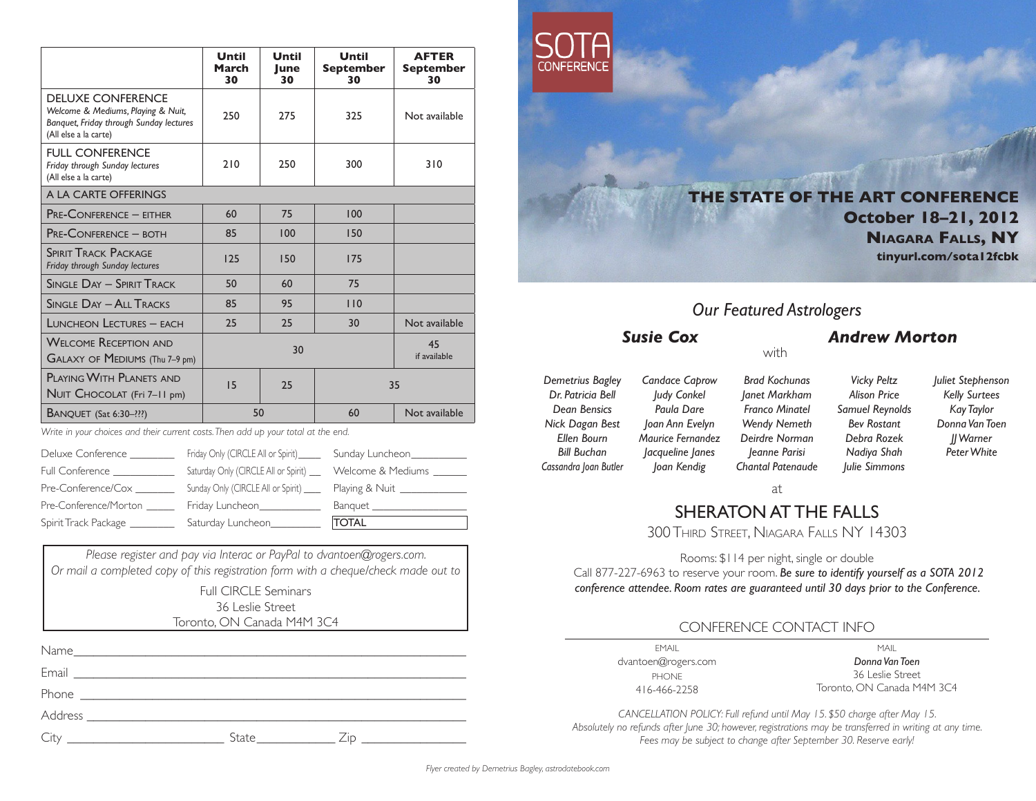|                                                                                                                                    | Until<br>March<br>30 | Until<br>lune<br>30 | Until<br><b>September</b><br>30 | <b>AFTER</b><br><b>September</b><br>30 |  |
|------------------------------------------------------------------------------------------------------------------------------------|----------------------|---------------------|---------------------------------|----------------------------------------|--|
| <b>DELUXE CONFERENCE</b><br>Welcome & Mediums, Playing & Nuit,<br>Banquet, Friday through Sunday lectures<br>(All else a la carte) | 250                  | 275                 | 325                             | Not available                          |  |
| <b>FULL CONFERENCE</b><br>Friday through Sunday lectures<br>(All else a la carte)                                                  | 210                  | 250                 | 300                             | 310                                    |  |
| A LA CARTE OFFERINGS                                                                                                               |                      |                     |                                 |                                        |  |
| <b>PRE-CONFERENCE - EITHER</b>                                                                                                     | 60                   | 75                  | 100                             |                                        |  |
| <b>PRE-CONFERENCE - BOTH</b>                                                                                                       | 85                   | 100                 | 150                             |                                        |  |
| <b>SPIRIT TRACK PACKAGE</b><br>Friday through Sunday lectures                                                                      | 125                  | 150                 | 175                             |                                        |  |
| <b>SINGLE DAY - SPIRIT TRACK</b>                                                                                                   | 50                   | 60                  | 75                              |                                        |  |
| <b>SINGLE DAY - ALL TRACKS</b>                                                                                                     | 85                   | 95                  | 110                             |                                        |  |
| LUNCHEON LECTURES - EACH                                                                                                           | 25                   | 25                  | 30                              | Not available                          |  |
| <b>WELCOME RECEPTION AND</b><br>GALAXY OF MEDIUMS (Thu 7-9 pm)                                                                     | 30                   |                     |                                 | 45<br>if available                     |  |
| PLAYING WITH PLANETS AND<br>NUIT CHOCOLAT (Fri 7-11 pm)                                                                            | 15                   | 25                  |                                 | 35                                     |  |
| <b>BANQUET</b> (Sat 6:30-???)                                                                                                      | 50                   |                     | 60                              | Not available                          |  |

*Write in your choices and their current costs. Then add up your total at the end.*

| Deluxe Conference      | Friday Only (CIRCLE All or Spirit)   | Sunday Luncheon_  |
|------------------------|--------------------------------------|-------------------|
| <b>Full Conference</b> | Saturday Only (CIRCLE All or Spirit) | Welcome & Mediums |
| Pre-Conference/Cox     | Sunday Only (CIRCLE All or Spirit)   | Playing & Nuit    |
| Pre-Conference/Morton  | Friday Luncheon                      | Banquet           |
| Spirit Track Package   | Saturday Luncheon                    | <b>TOTAL</b>      |

*Please register and pay via Interac or PayPal to dvantoen@rogers.com. Or mail a completed copy of this registration form with a cheque/check made out to* Full CIRCLE Seminars

36 Leslie Street Toronto, ON Canada M4M 3C4

| <u> 1990 - Jan James Barbara, politik eta politik eta politik eta politik eta politik eta politik eta politik e</u> |  |
|---------------------------------------------------------------------------------------------------------------------|--|



**THE STATE OF THE ART CONFERENCE October 18–21, 2012 Niagara Falls, NY tinyurl.com/sota12fcbk**

## *Our Featured Astrologers*

with

### *Susie Cox Andrew Morton*

*Demetrius Bagley Dr. Patricia Bell Dean Bensics Nick Dagan Best Ellen Bourn Bill Buchan Cassandra Joan Butler*

*Candace Caprow Judy Conkel Paula Dare Joan Ann Evelyn Maurice Fernandez Jacqueline Janes Joan Kendig*

*Brad Kochunas Janet Markham Franco Minatel Wendy Nemeth Deirdre Norman Jeanne Parisi Chantal Patenaude*

*Vicky Peltz Alison Price Samuel Reynolds Bev Rostant Debra Rozek Nadiya Shah Julie Simmons*

*Juliet Stephenson Kelly Surtees Kay Taylor Donna Van Toen JJ Warner Peter White* 

at

# SHERATON AT THE FALLS

300 Third Street, Niagara Falls NY 14303

Rooms: \$114 per night, single or double

 Call 877-227-6963 to reserve your room. *Be sure to identify yourself as a SOTA 2012 conference attendee. Room rates are guaranteed until 30 days prior to the Conference.*

## CONFERENCE CONTACT INFO

EMAIL dvantoen@rogers.com PHONE 416-466-2258

MAIL *Donna Van Toen* 36 Leslie Street Toronto, ON Canada M4M 3C4

*CANCELLATION POLICY: Full refund until May 15. \$50 charge after May 15. Absolutely no refunds after June 30; however, registrations may be transferred in writing at any time. Fees may be subject to change after September 30. Reserve early!*

*Flyer created by Demetrius Bagley, astrodatebook.com*